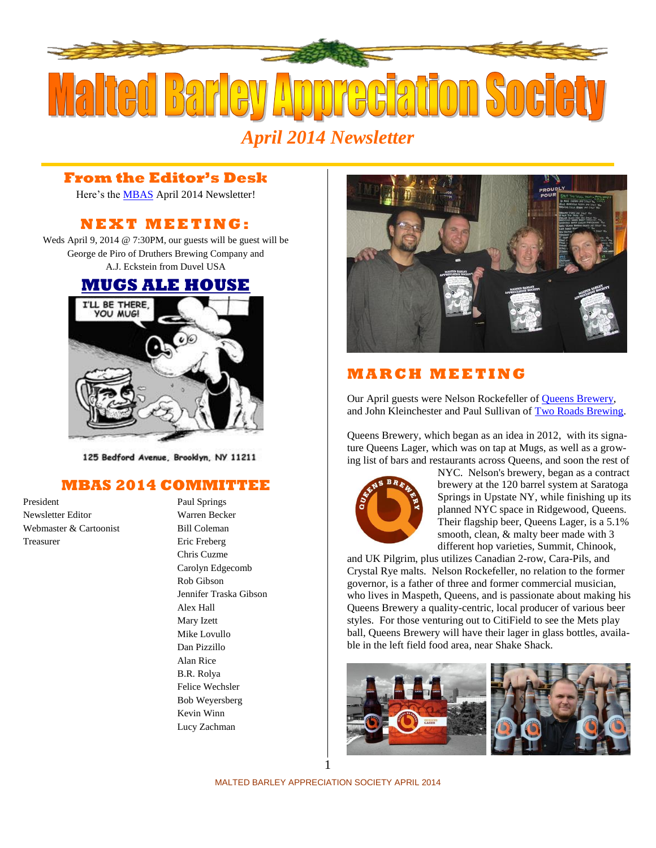

### **From the Editor's Desk**

Here's the [MBAS](http://hbd.org/mbas) April 2014 Newsletter!

# **N E X T M E ETI N G :**

Weds April 9, 2014 @ 7:30PM, our guests will be guest will be George de Piro of Druthers Brewing Company and A.J. Eckstein from Duvel USA

# **[MUGS ALE HOUSE](http://www.mugsalehouse.com/)**



125 Bedford Avenue, Brooklyn, NY 11211

#### **MBAS 2014 COMMITTEE**

President Paul Springs Newsletter Editor Warren Becker Webmaster & Cartoonist Bill Coleman Treasurer Eric Freberg

Chris Cuzme Carolyn Edgecomb Rob Gibson Jennifer Traska Gibson Alex Hall Mary Izett Mike Lovullo Dan Pizzillo Alan Rice B.R. Rolya Felice Wechsler Bob Weyersberg Kevin Winn Lucy Zachman



# **M A R C H M E ET I N G**

Our April guests were Nelson Rockefeller of [Queens Brewery,](http://www.queensbrewery.com/) and John Kleinchester and Paul Sullivan of [Two Roads Brewing.](http://www.tworoadsbrewing.com/)

Queens Brewery, which began as an idea in 2012, with its signature Queens Lager, which was on tap at Mugs, as well as a growing list of bars and restaurants across Queens, and soon the rest of



NYC. Nelson's brewery, began as a contract brewery at the 120 barrel system at Saratoga Springs in Upstate NY, while finishing up its planned NYC space in Ridgewood, Queens. Their flagship beer, Queens Lager, is a 5.1% smooth, clean,  $&$  malty beer made with 3 different hop varieties, Summit, Chinook,

and UK Pilgrim, plus utilizes Canadian 2-row, Cara-Pils, and Crystal Rye malts. Nelson Rockefeller, no relation to the former governor, is a father of three and former commercial musician, who lives in Maspeth, Queens, and is passionate about making his Queens Brewery a quality-centric, local producer of various beer styles. For those venturing out to CitiField to see the Mets play ball, Queens Brewery will have their lager in glass bottles, available in the left field food area, near Shake Shack.





MALTED BARLEY APPRECIATION SOCIETY APRIL 2014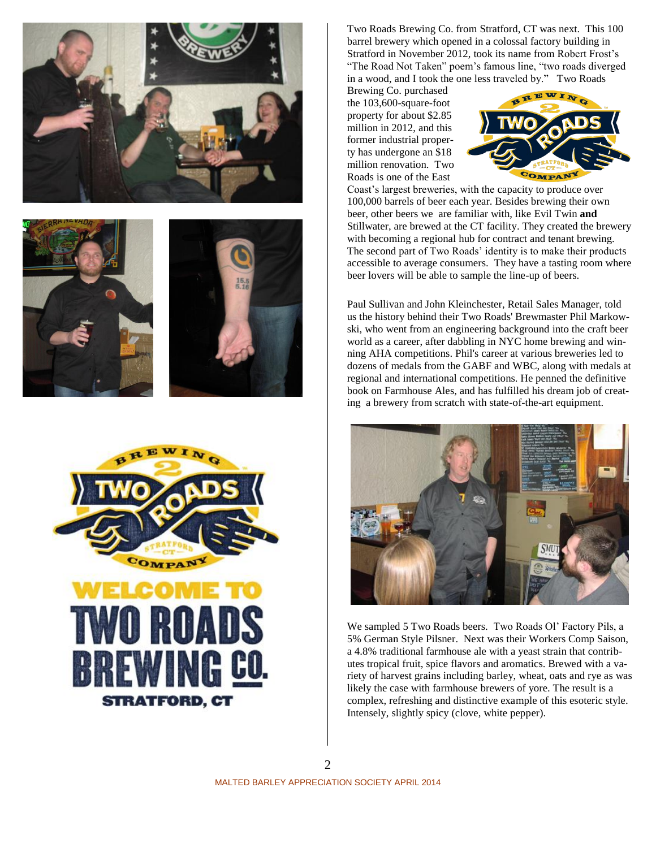







Two Roads Brewing Co. from Stratford, CT was next. This 100 barrel brewery which opened in a colossal factory building in Stratford in November 2012, took its name from Robert Frost's "The Road Not Taken" poem's famous line, "two roads diverged in a wood, and I took the one less traveled by." Two Roads

Brewing Co. purchased the 103,600-square-foot property for about \$2.85 million in 2012, and this former industrial property has undergone an \$18 million renovation. Two Roads is one of the East



Coast's largest breweries, with the capacity to produce over 100,000 barrels of beer each year. Besides brewing their own beer, other beers we are familiar with, like Evil Twin **and**  Stillwater, are brewed at the CT facility. They created the brewery with becoming a regional hub for contract and tenant brewing. The second part of Two Roads' identity is to make their products accessible to average consumers. They have a tasting room where beer lovers will be able to sample the line-up of beers.

Paul Sullivan and John Kleinchester, Retail Sales Manager, told us the history behind their Two Roads' Brewmaster Phil Markowski, who went from an engineering background into the craft beer world as a career, after dabbling in NYC home brewing and winning AHA competitions. Phil's career at various breweries led to dozens of medals from the GABF and WBC, along with medals at regional and international competitions. He penned the definitive book on Farmhouse Ales, and has fulfilled his dream job of creating a brewery from scratch with state-of-the-art equipment.



We sampled 5 Two Roads beers. Two Roads Ol' Factory Pils, a 5% German Style Pilsner. Next was their Workers Comp Saison, a 4.8% traditional farmhouse ale with a yeast strain that contributes tropical fruit, spice flavors and aromatics. Brewed with a variety of harvest grains including barley, wheat, oats and rye as was likely the case with farmhouse brewers of yore. The result is a complex, refreshing and distinctive example of this esoteric style. Intensely, slightly spicy (clove, white pepper).